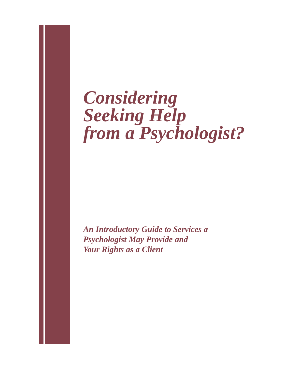# *Considering Seeking Help from a Psychologist?*

*An Introductory Guide to Services a Psychologist May Provide and Your Rights as a Client*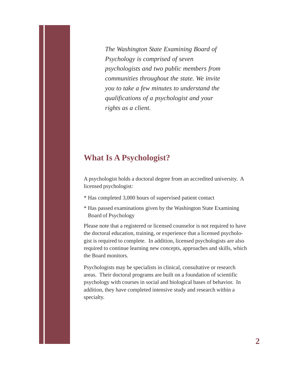*The Washington State Examining Board of Psychology is comprised of seven psychologists and two public members from communities throughout the state. We invite you to take a few minutes to understand the qualifications of a psychologist and your rights as a client.*

### **What Is A Psychologist?**

A psychologist holds a doctoral degree from an accredited university. A licensed psychologist:

- \* Has completed 3,000 hours of supervised patient contact
- \* Has passed examinations given by the Washington State Examining Board of Psychology

Please note that a registered or licensed counselor is not required to have the doctoral education, training, or experience that a licensed psychologist is required to complete. In addition, licensed psychologists are also required to continue learning new concepts, approaches and skills, which the Board monitors.

Psychologists may be specialists in clinical, consultative or research areas. Their doctoral programs are built on a foundation of scientific psychology with courses in social and biological bases of behavior. In addition, they have completed intensive study and research within a specialty.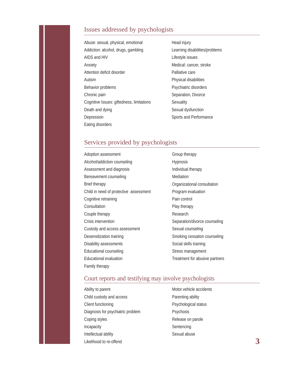#### Issues addressed by psychologists

| Abuse: sexual, physical, emotional        |
|-------------------------------------------|
| Addiction: alcohol, drugs, gambling       |
| AIDS and HIV                              |
| Anxiety                                   |
| Attention deficit disorder                |
| Autism                                    |
| Behavior problems                         |
| Chronic pain                              |
| Cognitive Issues: giftedness, limitations |
| Death and dying                           |
| Depression                                |
| Eating disorders                          |

Head injury Learning disabilities/problems Lifestyle issues Medical: cancer, stroke Palliative care Physical disabilities Psychiatric disorders Separation, Divorce **Sexuality** Sexual dysfunction Sports and Performance

#### Services provided by psychologists

| Adoption assessment                    |
|----------------------------------------|
| Alcohol/addiction counseling           |
| Assessment and diagnosis               |
| Bereavement counseling                 |
| Brief therapy                          |
| Child in need of protective assessment |
| Cognitive retraining                   |
| Consultation                           |
| Couple therapy                         |
| Crisis intervention                    |
| Custody and access assessment          |
| Desensitization training               |
| Disability assessments                 |
| Educational counseling                 |
| Educational evaluation                 |
| Family therapy                         |

Group therapy Hypnosis Individual therapy Mediation Organizational consultation Program evaluation Pain control Play therapy Research Separation/divorce counseling Sexual counseling Smoking cessation counseling Social skills training Stress management Treatment for abusive partners

#### Court reports and testifying may involve psychologists

| Ability to parent                 |
|-----------------------------------|
| Child custody and access          |
| Client functioning                |
| Diagnosis for psychiatric problem |
| Coping styles                     |
| Incapacity                        |
| Intellectual ability              |
| Likelihood to re-offend           |

Motor vehicle accidents Parenting ability Psychological status Psychosis Release on parole Sentencing Sexual abuse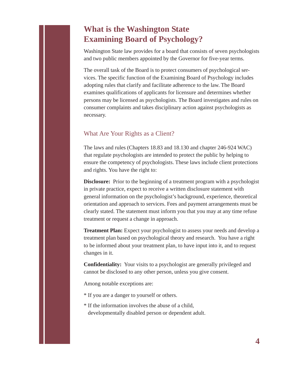## **What is the Washington State Examining Board of Psychology?**

Washington State law provides for a board that consists of seven psychologists and two public members appointed by the Governor for five-year terms.

The overall task of the Board is to protect consumers of psychological services. The specific function of the Examining Board of Psychology includes adopting rules that clarify and facilitate adherence to the law. The Board examines qualifications of applicants for licensure and determines whether persons may be licensed as psychologists. The Board investigates and rules on consumer complaints and takes disciplinary action against psychologists as necessary.

#### What Are Your Rights as a Client?

The laws and rules (Chapters 18.83 and 18.130 and chapter 246-924 WAC) that regulate psychologists are intended to protect the public by helping to ensure the competency of psychologists. These laws include client protections and rights. You have the right to:

**Disclosure:** Prior to the beginning of a treatment program with a psychologist in private practice, expect to receive a written disclosure statement with general information on the psychologist's background, experience, theoretical orientation and approach to services. Fees and payment arrangements must be clearly stated. The statement must inform you that you may at any time refuse treatment or request a change in approach.

**Treatment Plan:** Expect your psychologist to assess your needs and develop a treatment plan based on psychological theory and research. You have a right to be informed about your treatment plan, to have input into it, and to request changes in it.

**Confidentiality:** Your visits to a psychologist are generally privileged and cannot be disclosed to any other person, unless you give consent.

Among notable exceptions are:

- \* If you are a danger to yourself or others.
- \* If the information involves the abuse of a child, developmentally disabled person or dependent adult.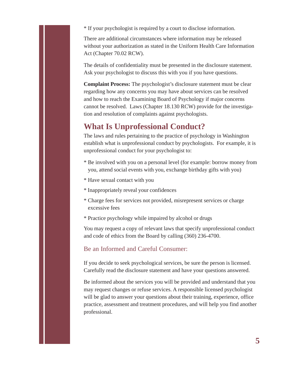\* If your psychologist is required by a court to disclose information.

There are additional circumstances where information may be released without your authorization as stated in the Uniform Health Care Information Act (Chapter 70.02 RCW).

The details of confidentiality must be presented in the disclosure statement. Ask your psychologist to discuss this with you if you have questions.

**Complaint Process:** The psychologist's disclosure statement must be clear regarding how any concerns you may have about services can be resolved and how to reach the Examining Board of Psychology if major concerns cannot be resolved. Laws (Chapter 18.130 RCW) provide for the investigation and resolution of complaints against psychologists.

## **What Is Unprofessional Conduct?**

The laws and rules pertaining to the practice of psychology in Washington establish what is unprofessional conduct by psychologists. For example, it is unprofessional conduct for your psychologist to:

- \* Be involved with you on a personal level (for example: borrow money from you, attend social events with you, exchange birthday gifts with you)
- \* Have sexual contact with you
- \* Inappropriately reveal your confidences
- \* Charge fees for services not provided, misrepresent services or charge excessive fees
- \* Practice psychology while impaired by alcohol or drugs

You may request a copy of relevant laws that specify unprofessional conduct and code of ethics from the Board by calling (360) 236-4700.

#### Be an Informed and Careful Consumer:

If you decide to seek psychological services, be sure the person is licensed. Carefully read the disclosure statement and have your questions answered.

Be informed about the services you will be provided and understand that you may request changes or refuse services. A responsible licensed psychologist will be glad to answer your questions about their training, experience, office practice, assessment and treatment procedures, and will help you find another professional.